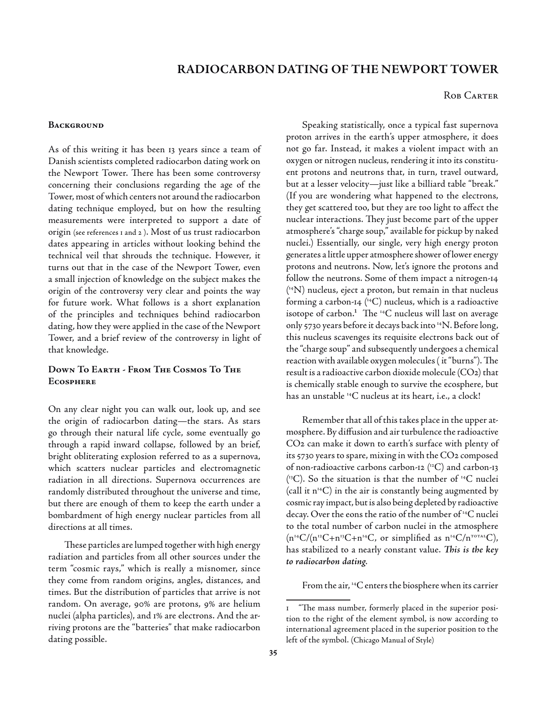# **radiocarbon dating of the newport tower**

#### ROB CARTER

#### **BACKGROUND**

As of this writing it has been 13 years since a team of Danish scientists completed radiocarbon dating work on the Newport Tower. There has been some controversy concerning their conclusions regarding the age of the Tower, most of which centers not around the radiocarbon dating technique employed, but on how the resulting measurements were interpreted to support a date of origin (see references 1 and 2 ). Most of us trust radiocarbon dates appearing in articles without looking behind the technical veil that shrouds the technique. However, it turns out that in the case of the Newport Tower, even a small injection of knowledge on the subject makes the origin of the controversy very clear and points the way for future work. What follows is a short explanation of the principles and techniques behind radiocarbon dating, how they were applied in the case of the Newport Tower, and a brief review of the controversy in light of that knowledge.

## **Down To Earth - From The Cosmos To The Ecosphere**

On any clear night you can walk out, look up, and see the origin of radiocarbon dating—the stars. As stars go through their natural life cycle, some eventually go through a rapid inward collapse, followed by an brief, bright obliterating explosion referred to as a supernova, which scatters nuclear particles and electromagnetic radiation in all directions. Supernova occurrences are randomly distributed throughout the universe and time, but there are enough of them to keep the earth under a bombardment of high energy nuclear particles from all directions at all times.

These particles are lumped together with high energy radiation and particles from all other sources under the term "cosmic rays," which is really a misnomer, since they come from random origins, angles, distances, and times. But the distribution of particles that arrive is not random. On average, 90% are protons, 9% are helium nuclei (alpha particles), and 1% are electrons. And the arriving protons are the "batteries" that make radiocarbon dating possible.

Speaking statistically, once a typical fast supernova proton arrives in the earth's upper atmosphere, it does not go far. Instead, it makes a violent impact with an oxygen or nitrogen nucleus, rendering it into its constituent protons and neutrons that, in turn, travel outward, but at a lesser velocity—just like a billiard table "break." (If you are wondering what happened to the electrons, they get scattered too, but they are too light to affect the nuclear interactions. They just become part of the upper atmosphere's "charge soup," available for pickup by naked nuclei.) Essentially, our single, very high energy proton generates a little upper atmosphere shower of lower energy protons and neutrons. Now, let's ignore the protons and follow the neutrons. Some of them impact a nitrogen-14 ( 14N) nucleus, eject a proton, but remain in that nucleus forming a carbon-14  $(14)$  nucleus, which is a radioactive isotope of carbon.<sup>1</sup> The  $^{14}C$  nucleus will last on average only 5730 years before it decays back into 14N. Before long, this nucleus scavenges its requisite electrons back out of the "charge soup" and subsequently undergoes a chemical reaction with available oxygen molecules ( it "burns"). The result is a radioactive carbon dioxide molecule (CO2) that is chemically stable enough to survive the ecosphere, but has an unstable 14C nucleus at its heart, i.e., a clock!

Remember that all of this takes place in the upper atmosphere. By diffusion and air turbulence the radioactive CO2 can make it down to earth's surface with plenty of its 5730 years to spare, mixing in with the CO2 composed of non-radioactive carbons carbon-12  $(^{12}C)$  and carbon-13  $(^{13}C)$ . So the situation is that the number of  $^{14}C$  nuclei (call it  $n^{14}C$ ) in the air is constantly being augmented by cosmic ray impact, but is also being depleted by radioactive decay. Over the eons the ratio of the number of 14C nuclei to the total number of carbon nuclei in the atmosphere  $(n^{14}C/(n^{12}C+n^{13}C+n^{14}C,$  or simplified as  $n^{14}C/n^{107A1}C)$ , has stabilized to a nearly constant value. *This is the key to radiocarbon dating*.

From the air, 14C enters the biosphere when its carrier

 $\mathbf{I}$ "The mass number, formerly placed in the superior position to the right of the element symbol, is now according to international agreement placed in the superior position to the left of the symbol. (Chicago Manual of Style)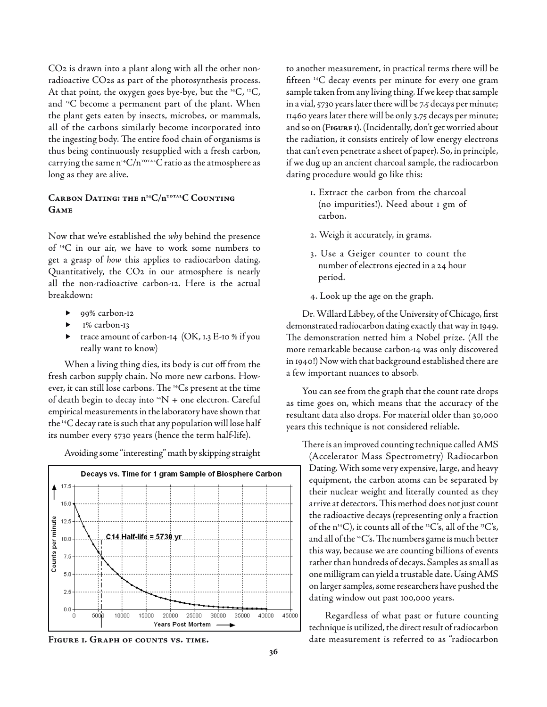CO2 is drawn into a plant along with all the other nonradioactive CO2s as part of the photosynthesis process. At that point, the oxygen goes bye-bye, but the  $^{14}C$ ,  $^{12}C$ , and 13C become a permanent part of the plant. When the plant gets eaten by insects, microbes, or mammals, all of the carbons similarly become incorporated into the ingesting body. The entire food chain of organisms is thus being continuously resupplied with a fresh carbon, carrying the same  $n^{14}C/n^{T0TAL}C$  ratio as the atmosphere as long as they are alive.

## CARBON DATING: THE  $n^{14}C/n^{TOTAL}C$  COUNTING **Game**

Now that we've established the *why* behind the presence of 14C in our air, we have to work some numbers to get a grasp of *how* this applies to radiocarbon dating. Quantitatively, the CO2 in our atmosphere is nearly all the non-radioactive carbon-12. Here is the actual breakdown:

- 99% carbon-12 Ы
- 1% carbon-13  $\blacktriangleright$
- trace amount of carbon-14 (OK, 1.3 E-10 % if you really want to know)  $\blacktriangleright$

When a living thing dies, its body is cut off from the fresh carbon supply chain. No more new carbons. However, it can still lose carbons. The 14Cs present at the time of death begin to decay into  $^{14}N$  + one electron. Careful empirical measurements in the laboratory have shown that the 14C decay rate is such that any population will lose half its number every 5730 years (hence the term half-life).

Avoiding some "interesting" math by skipping straight



to another measurement, in practical terms there will be fifteen 14C decay events per minute for every one gram sample taken from any living thing. If we keep that sample in a vial, 5730 years later there will be 7.5 decays per minute; 11460 years later there will be only 3.75 decays per minute; and so on **(Figure 1)**. (Incidentally, don't get worried about the radiation, it consists entirely of low energy electrons that can't even penetrate a sheet of paper). So, in principle, if we dug up an ancient charcoal sample, the radiocarbon dating procedure would go like this:

- 1. Extract the carbon from the charcoal (no impurities!). Need about 1 gm of carbon.
- 2. Weigh it accurately, in grams.
- 3. Use a Geiger counter to count the number of electrons ejected in a 24 hour period.
- 4. Look up the age on the graph.

Dr. Willard Libbey, of the University of Chicago, first demonstrated radiocarbon dating exactly that way in 1949. The demonstration netted him a Nobel prize. (All the more remarkable because carbon-14 was only discovered in 1940!) Now with that background established there are a few important nuances to absorb.

You can see from the graph that the count rate drops as time goes on, which means that the accuracy of the resultant data also drops. For material older than 30,000 years this technique is not considered reliable.

There is an improved counting technique called AMS (Accelerator Mass Spectrometry) Radiocarbon Dating. With some very expensive, large, and heavy equipment, the carbon atoms can be separated by their nuclear weight and literally counted as they arrive at detectors. This method does not just count the radioactive decays (representing only a fraction of the  $n^{14}C$ ), it counts all of the <sup>12</sup>C's, all of the <sup>13</sup>C's, and all of the  $^{14}C$ 's. The numbers game is much better this way, because we are counting billions of events rather than hundreds of decays. Samples as small as one milligram can yield a trustable date. Using AMS on larger samples, some researchers have pushed the dating window out past 100,000 years.

Regardless of what past or future counting technique is utilized, the direct result of radiocarbon FIGURE I. GRAPH OF COUNTS VS. TIME. **Example 20 and SET Algebrary** date measurement is referred to as "radiocarbon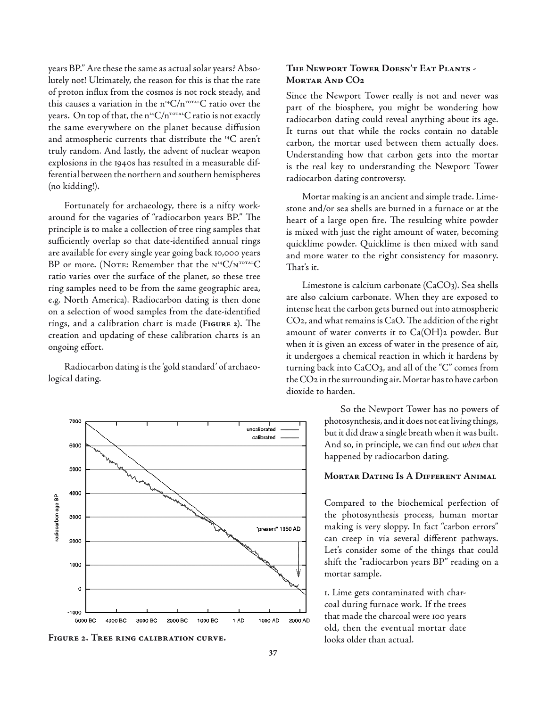years BP." Are these the same as actual solar years? Absolutely not! Ultimately, the reason for this is that the rate of proton influx from the cosmos is not rock steady, and this causes a variation in the  $n^{14}C/n^{T0TA}C$  ratio over the years. On top of that, the  $n^{14}C/n^{TOTAL}C$  ratio is not exactly the same everywhere on the planet because diffusion and atmospheric currents that distribute the 14C aren't truly random. And lastly, the advent of nuclear weapon explosions in the 1940s has resulted in a measurable differential between the northern and southern hemispheres (no kidding!).

Fortunately for archaeology, there is a nifty workaround for the vagaries of "radiocarbon years BP." The principle is to make a collection of tree ring samples that sufficiently overlap so that date-identified annual rings are available for every single year going back 10,000 years BP or more. (NOTE: Remember that the  $N^{14}C/N^{TOTAL}C$ ratio varies over the surface of the planet, so these tree ring samples need to be from the same geographic area, e.g. North America). Radiocarbon dating is then done on a selection of wood samples from the date-identified rings, and a calibration chart is made **(Figure 2)**. The creation and updating of these calibration charts is an ongoing effort.

Radiocarbon dating is the 'gold standard' of archaeological dating.



FIGURE 2. TREE RING CALIBRATION CURVE. **ignoring intervals** looks older than actual.

## **The Newport Tower Doesn't Eat Plants - Mortar And CO2**

Since the Newport Tower really is not and never was part of the biosphere, you might be wondering how radiocarbon dating could reveal anything about its age. It turns out that while the rocks contain no datable carbon, the mortar used between them actually does. Understanding how that carbon gets into the mortar is the real key to understanding the Newport Tower radiocarbon dating controversy.

Mortar making is an ancient and simple trade. Limestone and/or sea shells are burned in a furnace or at the heart of a large open fire. The resulting white powder is mixed with just the right amount of water, becoming quicklime powder. Quicklime is then mixed with sand and more water to the right consistency for masonry. That's it.

Limestone is calcium carbonate (CaCO3). Sea shells are also calcium carbonate. When they are exposed to intense heat the carbon gets burned out into atmospheric CO2, and what remains is CaO. The addition of the right amount of water converts it to  $Ca(OH)$ <sub>2</sub> powder. But when it is given an excess of water in the presence of air, it undergoes a chemical reaction in which it hardens by turning back into CaCO3, and all of the "C" comes from the CO2 in the surrounding air. Mortar has to have carbon dioxide to harden.

> So the Newport Tower has no powers of photosynthesis, and it does not eat living things, but it did draw a single breath when it was built. And so, in principle, we can find out *when* that happened by radiocarbon dating.

#### **Mortar Dating Is A Different Animal**

Compared to the biochemical perfection of the photosynthesis process, human mortar making is very sloppy. In fact "carbon errors" can creep in via several different pathways. Let's consider some of the things that could shift the "radiocarbon years BP" reading on a mortar sample.

1. Lime gets contaminated with charcoal during furnace work. If the trees that made the charcoal were 100 years old, then the eventual mortar date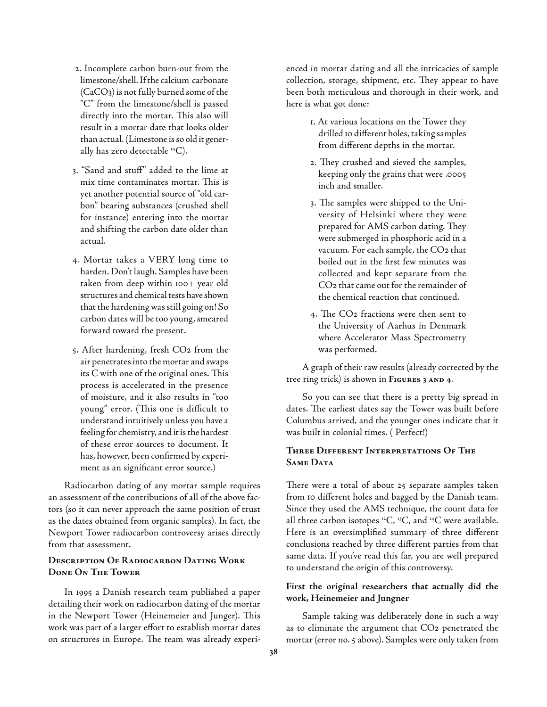- 2. Incomplete carbon burn-out from the limestone/shell. If the calcium carbonate (CaCO3) is not fully burned some of the "C" from the limestone/shell is passed directly into the mortar. This also will result in a mortar date that looks older than actual. (Limestone is so old it generally has zero detectable  $^{14}C$ ).
- 3. "Sand and stuff" added to the lime at mix time contaminates mortar. This is yet another potential source of "old carbon" bearing substances (crushed shell for instance) entering into the mortar and shifting the carbon date older than actual.
- 4. Mortar takes a VERY long time to harden. Don't laugh. Samples have been taken from deep within 100+ year old structures and chemical tests have shown that the hardening was still going on! So carbon dates will be too young, smeared forward toward the present.
- 5. After hardening, fresh CO2 from the air penetrates into the mortar and swaps its C with one of the original ones. This process is accelerated in the presence of moisture, and it also results in "too young" error. (This one is difficult to understand intuitively unless you have a feeling for chemistry, and it is the hardest of these error sources to document. It has, however, been confirmed by experiment as an significant error source.)

Radiocarbon dating of any mortar sample requires an assessment of the contributions of all of the above factors (so it can never approach the same position of trust as the dates obtained from organic samples). In fact, the Newport Tower radiocarbon controversy arises directly from that assessment.

#### **Description Of Radiocarbon Dating Work Done On The Tower**

In 1995 a Danish research team published a paper detailing their work on radiocarbon dating of the mortar in the Newport Tower (Heinemeier and Junger). This work was part of a larger effort to establish mortar dates on structures in Europe. The team was already experienced in mortar dating and all the intricacies of sample collection, storage, shipment, etc. They appear to have been both meticulous and thorough in their work, and here is what got done:

- 1. At various locations on the Tower they drilled 10 different holes, taking samples from different depths in the mortar.
- 2. They crushed and sieved the samples, keeping only the grains that were .0005 inch and smaller.
- 3. The samples were shipped to the University of Helsinki where they were prepared for AMS carbon dating. They were submerged in phosphoric acid in a vacuum. For each sample, the CO2 that boiled out in the first few minutes was collected and kept separate from the CO2 that came out for the remainder of the chemical reaction that continued.
- 4. The CO2 fractions were then sent to the University of Aarhus in Denmark where Accelerator Mass Spectrometry was performed.

A graph of their raw results (already corrected by the tree ring trick) is shown in **Figures 3 and 4**.

So you can see that there is a pretty big spread in dates. The earliest dates say the Tower was built before Columbus arrived, and the younger ones indicate that it was built in colonial times. ( Perfect!)

### **Three Different Interpretations Of The SAME DATA**

There were a total of about 25 separate samples taken from 10 different holes and bagged by the Danish team. Since they used the AMS technique, the count data for all three carbon isotopes  $^{12}C$ ,  $^{13}C$ , and  $^{14}C$  were available. Here is an oversimplified summary of three different conclusions reached by three different parties from that same data. If you've read this far, you are well prepared to understand the origin of this controversy.

### **First the original researchers that actually did the work, Heinemeier and Jungner**

Sample taking was deliberately done in such a way as to eliminate the argument that CO2 penetrated the mortar (error no. 5 above). Samples were only taken from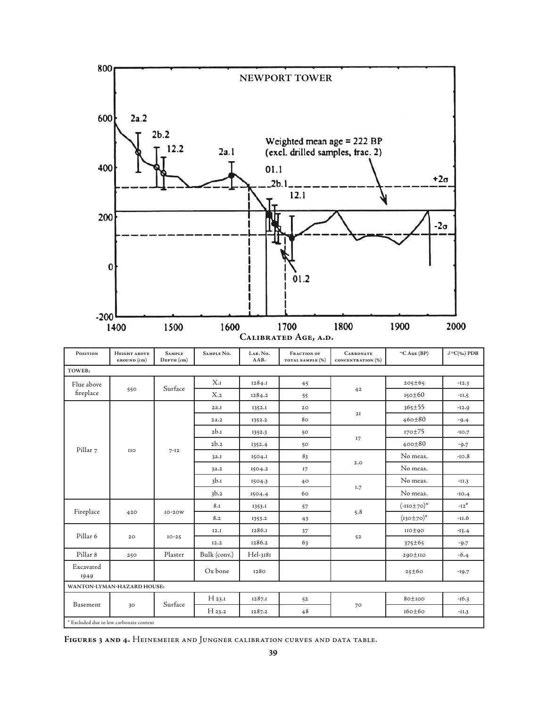

| POSITION                | Неіснт авоуе<br>GROUND (cm)             | <b>SAMPLE</b><br><b>DEPTH</b> (cm) | SAMPLE No.   | LAB. No.<br>$AAR-$ | <b>FRACTION OF</b><br>TOTAL SAMPLE (%) | <b>CARBONATE</b><br>CONCENTRATION (%) | $^{14}C$ AGE (BP) | $\delta$ <sup>13</sup> С(‰) РDВ |
|-------------------------|-----------------------------------------|------------------------------------|--------------|--------------------|----------------------------------------|---------------------------------------|-------------------|---------------------------------|
| TOWER:                  |                                         |                                    |              |                    |                                        |                                       |                   |                                 |
| Flue above<br>fireplace | 550                                     | Surface                            | $X_{\cdot}I$ | 1284.1             | 45                                     | 42                                    | $205 \pm 65$      | $-12.3$                         |
|                         |                                         |                                    | $X_{.2}$     | 1284.2             | 55                                     |                                       | $150\pm60$        | $-II.5$                         |
| Pillar 7                | <b>IIO</b>                              | $7 - 12$                           | 2a.I         | I352.I             | 20                                     | 2I                                    | $365 \pm 55$      | $-12.9$                         |
|                         |                                         |                                    | 2a.2         | 1352.2             | 80                                     |                                       | $460 \pm 80$      | $-9.4$                          |
|                         |                                         |                                    | 2b.1         | 1352.3             | 50                                     | 17                                    | $170 \pm 75$      | $-10.7$                         |
|                         |                                         |                                    | 2b.2         | 1352.4             | 50                                     |                                       | $400 \pm 80$      | $-9.7$                          |
|                         |                                         |                                    | 3a.1         | 1504.I             | 83                                     | 2.0                                   | No meas.          | $-10.8$                         |
|                         |                                         |                                    | 3a.2         | 1504.2             | 17                                     |                                       | No meas.          |                                 |
|                         |                                         |                                    | 3b.1         | 1504.3             | 40                                     | 1.7                                   | No meas.          | $-11.3$                         |
|                         |                                         |                                    | 3b.2         | 1504.4             | 60                                     |                                       | No meas.          | $-IO.4$                         |
| Fireplace               | 420                                     | $IO-2OW$                           | 8.1          | 1353.I             | 57                                     | 5.8                                   | $(-110 \pm 70)^*$ | $-12^{*}$                       |
|                         |                                         |                                    | 8.2          | 1353.2             | 43                                     |                                       | $(130 \pm 70)^*$  | $-11.6$                         |
| Pillar <sub>6</sub>     | 20                                      | $IO-25$                            | I2.I         | 1286.1             | 37                                     | 52                                    | $IO \pm 90$       | $-13.4$                         |
|                         |                                         |                                    | 12.2         | 1286.2             | 63                                     |                                       | $375 \pm 65$      | $-9.7$                          |
| Pillar 8                | 250                                     | Plaster                            | Bulk (conv.) | Hel-3181           |                                        |                                       | 290±110           | $-6.4$                          |
| Excavated<br>1949       |                                         |                                    | Ox bone      | 1280               |                                        |                                       | 25±60             | $-19.7$                         |
|                         | WANTON-LYMAN-HAZARD HOUSE:              |                                    |              |                    |                                        |                                       |                   |                                 |
| Basement                | 30                                      | Surface                            | $H_{23,I}$   | 1287.1             | 52                                     | 70                                    | 80±100            | $-16.3$                         |
|                         |                                         |                                    | $H_{23,2}$   | 1287.2             | 48                                     |                                       | $160 \pm 60$      | $-II.3$                         |
|                         | * Excluded due to low carbonate content |                                    |              |                    |                                        |                                       |                   |                                 |

**Figures 3 and 4.** Heinemeier and Jungner calibration curves and data table.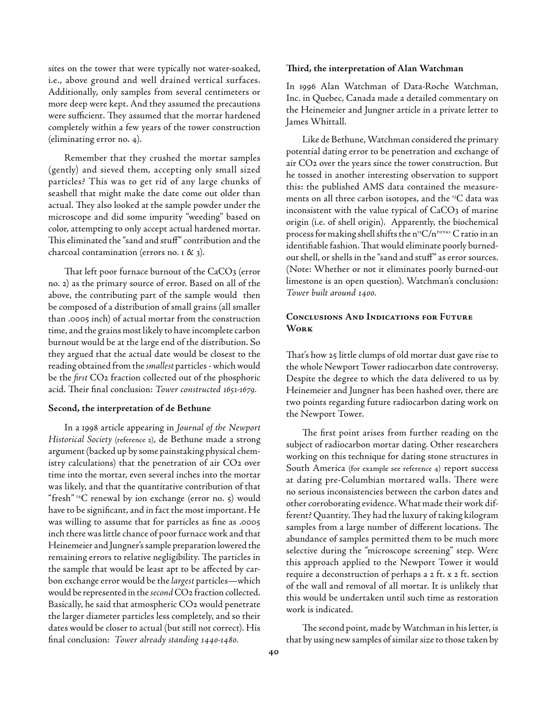sites on the tower that were typically not water-soaked, i.e., above ground and well drained vertical surfaces. Additionally, only samples from several centimeters or more deep were kept. And they assumed the precautions were sufficient. They assumed that the mortar hardened completely within a few years of the tower construction (eliminating error no. 4).

Remember that they crushed the mortar samples (gently) and sieved them, accepting only small sized particles? This was to get rid of any large chunks of seashell that might make the date come out older than actual. They also looked at the sample powder under the microscope and did some impurity "weeding" based on color, attempting to only accept actual hardened mortar. This eliminated the "sand and stuff" contribution and the charcoal contamination (errors no. 1 & 3).

That left poor furnace burnout of the CaCO3 (error no. 2) as the primary source of error. Based on all of the above, the contributing part of the sample would then be composed of a distribution of small grains (all smaller than .0005 inch) of actual mortar from the construction time, and the grains most likely to have incomplete carbon burnout would be at the large end of the distribution. So they argued that the actual date would be closest to the reading obtained from the *smallest* particles - which would be the *first* CO2 fraction collected out of the phosphoric acid. Their final conclusion: *Tower constructed 1651-1679.*

#### **Second, the interpretation of de Bethune**

In a 1998 article appearing in *Journal of the Newport Historical Society* (reference 2), de Bethune made a strong argument (backed up by some painstaking physical chemistry calculations) that the penetration of air CO2 over time into the mortar, even several inches into the mortar was likely, and that the quantitative contribution of that "fresh" 14C renewal by ion exchange (error no. 5) would have to be significant, and in fact the most important. He was willing to assume that for particles as fine as .0005 inch there was little chance of poor furnace work and that Heinemeier and Jungner's sample preparation lowered the remaining errors to relative negligibility. The particles in the sample that would be least apt to be affected by carbon exchange error would be the *largest* particles—which would be represented in the *second* CO2 fraction collected. Basically, he said that atmospheric CO2 would penetrate the larger diameter particles less completely, and so their dates would be closer to actual (but still not correct). His final conclusion: *Tower already standing 1440-1480.*

#### **Third, the interpretation of Alan Watchman**

In 1996 Alan Watchman of Data-Roche Watchman, Inc. in Quebec, Canada made a detailed commentary on the Heinemeier and Jungner article in a private letter to James Whittall.

Like de Bethune, Watchman considered the primary potential dating error to be penetration and exchange of air CO2 over the years since the tower construction. But he tossed in another interesting observation to support this: the published AMS data contained the measurements on all three carbon isotopes, and the 13C data was inconsistent with the value typical of CaCO3 of marine origin (i.e. of shell origin). Apparently, the biochemical process for making shell shifts the  $n^{13}C/n^{TOTAL}C$  ratio in an identifiable fashion. That would eliminate poorly burnedout shell, or shells in the "sand and stuff" as error sources. (Note: Whether or not it eliminates poorly burned-out limestone is an open question). Watchman's conclusion: *Tower built around 1400.*

## **Conclusions And Indications for Future Work**

That's how 25 little clumps of old mortar dust gave rise to the whole Newport Tower radiocarbon date controversy. Despite the degree to which the data delivered to us by Heinemeier and Jungner has been hashed over, there are two points regarding future radiocarbon dating work on the Newport Tower.

The first point arises from further reading on the subject of radiocarbon mortar dating. Other researchers working on this technique for dating stone structures in South America (for example see reference 4) report success at dating pre-Columbian mortared walls. There were no serious inconsistencies between the carbon dates and other corroborating evidence. What made their work different? Quantity. They had the luxury of taking kilogram samples from a large number of different locations. The abundance of samples permitted them to be much more selective during the "microscope screening" step. Were this approach applied to the Newport Tower it would require a deconstruction of perhaps a 2 ft. x 2 ft. section of the wall and removal of all mortar. It is unlikely that this would be undertaken until such time as restoration work is indicated.

The second point, made by Watchman in his letter, is that by using new samples of similar size to those taken by